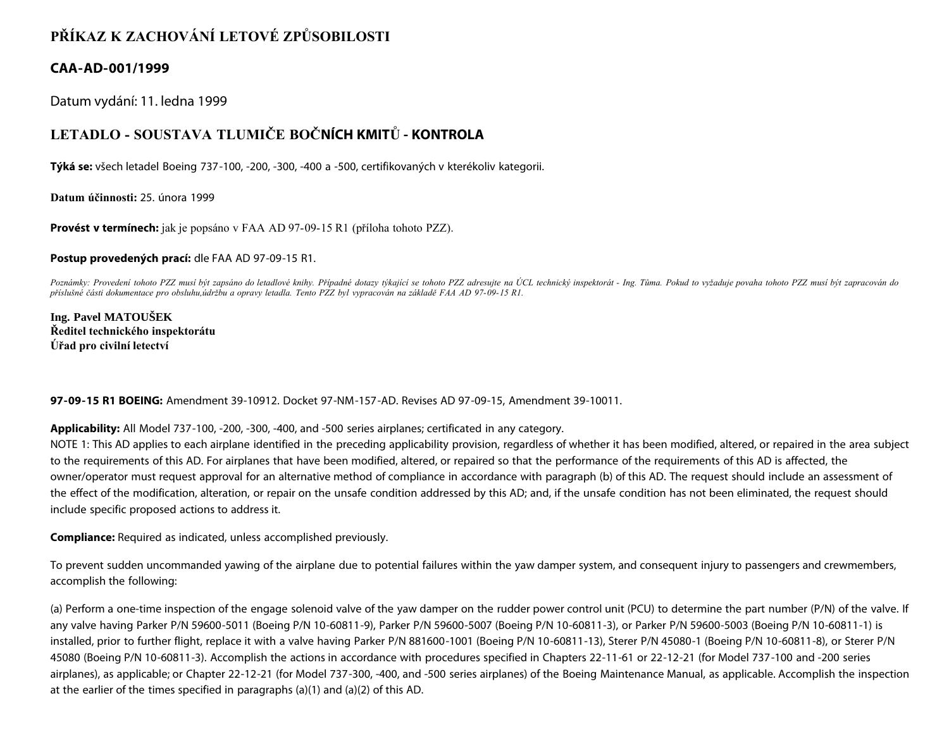## **PŘÍKAZ K ZACHOVÁNÍ LETOVÉ ZPŮSOBILOSTI**

## **CAA-AD-001/1999**

Datum vydání: 11. ledna 1999

## **LETADLO - SOUSTAVA TLUMIČE BOČNÍCH KMITŮ - KONTROLA**

**Týká se:** všech letadel Boeing 737-100, -200, -300, -400 a -500, certifikovaných v kterékoliv kategorii.

**Datum účinnosti:** 25. února 1999

**Provést v termínech:** jak je popsáno v FAA AD 97-09-15 R1 (příloha tohoto PZZ).

**Postup provedených prací:** dle FAA AD 97-09-15 R1.

*Poznámky: Provedení tohoto PZZ musí být zapsáno do letadlové knihy. Případné dotazy týkající se tohoto PZZ adresujte na ÚCL technický inspektorát - Ing. Tůma. Pokud to vyžaduje povaha tohoto PZZ musí být zapracován do příslušné části dokumentace pro obsluhu,údržbu a opravy letadla. Tento PZZ byl vypracován na základě FAA AD 97-09-15 R1.*

**Ing. Pavel MATOUŠEK Ředitel technického inspektorátu Úřad pro civilní letectví**

**97-09-15 R1 BOEING:** Amendment 39-10912. Docket 97-NM-157-AD. Revises AD 97-09-15, Amendment 39-10011.

**Applicability:** All Model 737-100, -200, -300, -400, and -500 series airplanes; certificated in any category.

NOTE 1: This AD applies to each airplane identified in the preceding applicability provision, regardless of whether it has been modified, altered, or repaired in the area subject to the requirements of this AD. For airplanes that have been modified, altered, or repaired so that the performance of the requirements of this AD is affected, the owner/operator must request approval for an alternative method of compliance in accordance with paragraph (b) of this AD. The request should include an assessment of the effect of the modification, alteration, or repair on the unsafe condition addressed by this AD; and, if the unsafe condition has not been eliminated, the request should include specific proposed actions to address it.

**Compliance:** Required as indicated, unless accomplished previously.

To prevent sudden uncommanded yawing of the airplane due to potential failures within the yaw damper system, and consequent injury to passengers and crewmembers, accomplish the following:

(a) Perform a one-time inspection of the engage solenoid valve of the yaw damper on the rudder power control unit (PCU) to determine the part number (P/N) of the valve. If any valve having Parker P/N 59600-5011 (Boeing P/N 10-60811-9), Parker P/N 59600-5007 (Boeing P/N 10-60811-3), or Parker P/N 59600-5003 (Boeing P/N 10-60811-1) is installed, prior to further flight, replace it with a valve having Parker P/N 881600-1001 (Boeing P/N 10-60811-13), Sterer P/N 45080-1 (Boeing P/N 10-60811-8), or Sterer P/N 45080 (Boeing P/N 10-60811-3). Accomplish the actions in accordance with procedures specified in Chapters 22-11-61 or 22-12-21 (for Model 737-100 and -200 series airplanes), as applicable; or Chapter 22-12-21 (for Model 737-300, -400, and -500 series airplanes) of the Boeing Maintenance Manual, as applicable. Accomplish the inspection at the earlier of the times specified in paragraphs (a)(1) and (a)(2) of this AD.